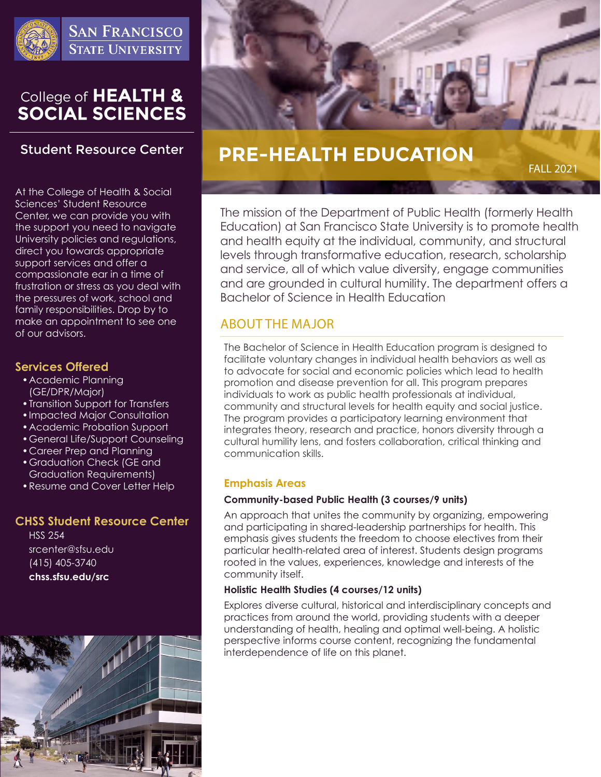

**SAN FRANCISCO STATE UNIVERSITY** 

# College of HEALTH &<br>SOCIAL SCIENCES

# **Student Resource Center**

At the College of Health & Social Sciences' Student Resource Center, we can provide you with the support you need to navigate University policies and regulations, direct you towards appropriate support services and offer a compassionate ear in a time of frustration or stress as you deal with the pressures of work, school and family responsibilities. Drop by to make an appointment to see one of our advisors.

#### **Services Offered**

- •Academic Planning (GE/DPR/Major)
- •Transition Support for Transfers
- •Impacted Major Consultation
- •Academic Probation Support
- •General Life/Support Counseling
- •Career Prep and Planning
- •Graduation Check (GE and Graduation Requirements)
- •Resume and Cover Letter Help

#### **CHSS Student Resource Center**

HSS 254 srcenter@sfsu.edu (415) 405-3740 **chss.sfsu.edu/src**





# **PRE-HEALTH EDUCATION**

FALL 2021

The mission of the Department of Public Health (formerly Health Education) at San Francisco State University is to promote health and health equity at the individual, community, and structural levels through transformative education, research, scholarship and service, all of which value diversity, engage communities and are grounded in cultural humility. The department offers a Bachelor of Science in Health Education

# ABOUT THE MAJOR

The Bachelor of Science in Health Education program is designed to facilitate voluntary changes in individual health behaviors as well as to advocate for social and economic policies which lead to health promotion and disease prevention for all. This program prepares individuals to work as public health professionals at individual, community and structural levels for health equity and social justice. The program provides a participatory learning environment that integrates theory, research and practice, honors diversity through a cultural humility lens, and fosters collaboration, critical thinking and communication skills.

#### **Emphasis Areas**

#### **Community-based Public Health (3 courses/9 units)**

An approach that unites the community by organizing, empowering and participating in shared-leadership partnerships for health. This emphasis gives students the freedom to choose electives from their particular health-related area of interest. Students design programs rooted in the values, experiences, knowledge and interests of the community itself.

#### **Holistic Health Studies (4 courses/12 units)**

Explores diverse cultural, historical and interdisciplinary concepts and practices from around the world, providing students with a deeper understanding of health, healing and optimal well-being. A holistic perspective informs course content, recognizing the fundamental interdependence of life on this planet.